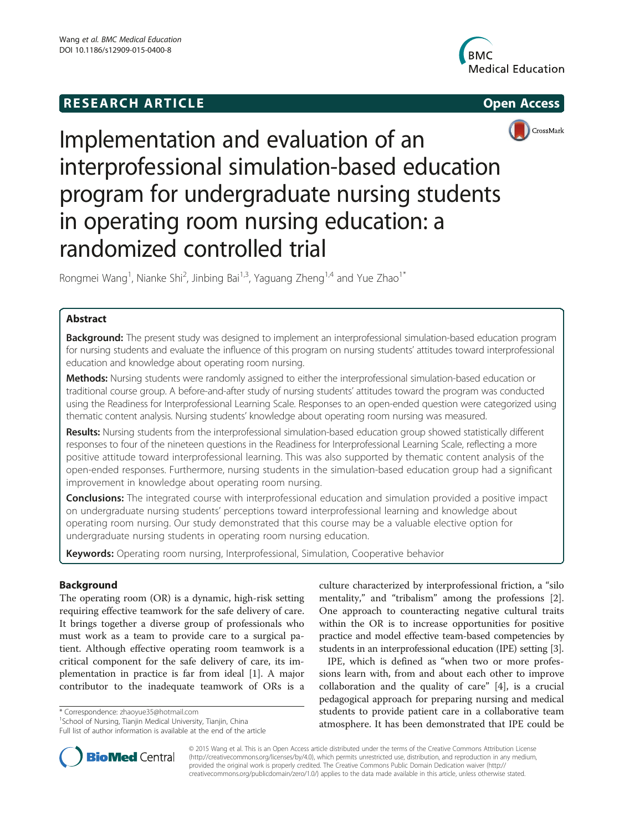# **RESEARCH ARTICLE Example 2014 12:30 The SEAR CHA RESEARCH ARTICLE**







# Implementation and evaluation of an interprofessional simulation-based education program for undergraduate nursing students in operating room nursing education: a randomized controlled trial

Rongmei Wang<sup>1</sup>, Nianke Shi<sup>2</sup>, Jinbing Bai<sup>1,3</sup>, Yaguang Zheng<sup>1,4</sup> and Yue Zhao<sup>1\*</sup>

## Abstract

**Background:** The present study was designed to implement an interprofessional simulation-based education program for nursing students and evaluate the influence of this program on nursing students' attitudes toward interprofessional education and knowledge about operating room nursing.

Methods: Nursing students were randomly assigned to either the interprofessional simulation-based education or traditional course group. A before-and-after study of nursing students' attitudes toward the program was conducted using the Readiness for Interprofessional Learning Scale. Responses to an open-ended question were categorized using thematic content analysis. Nursing students' knowledge about operating room nursing was measured.

Results: Nursing students from the interprofessional simulation-based education group showed statistically different responses to four of the nineteen questions in the Readiness for Interprofessional Learning Scale, reflecting a more positive attitude toward interprofessional learning. This was also supported by thematic content analysis of the open-ended responses. Furthermore, nursing students in the simulation-based education group had a significant improvement in knowledge about operating room nursing.

**Conclusions:** The integrated course with interprofessional education and simulation provided a positive impact on undergraduate nursing students' perceptions toward interprofessional learning and knowledge about operating room nursing. Our study demonstrated that this course may be a valuable elective option for undergraduate nursing students in operating room nursing education.

Keywords: Operating room nursing, Interprofessional, Simulation, Cooperative behavior

### Background

The operating room (OR) is a dynamic, high-risk setting requiring effective teamwork for the safe delivery of care. It brings together a diverse group of professionals who must work as a team to provide care to a surgical patient. Although effective operating room teamwork is a critical component for the safe delivery of care, its implementation in practice is far from ideal [1]. A major contributor to the inadequate teamwork of ORs is a

\* Correspondence: zhaoyue35@hotmail.com <sup>1</sup>

<sup>1</sup> School of Nursing, Tianjin Medical University, Tianjin, China Full list of author information is available at the end of the article culture characterized by interprofessional friction, a "silo mentality," and "tribalism" among the professions [2]. One approach to counteracting negative cultural traits within the OR is to increase opportunities for positive practice and model effective team-based competencies by students in an interprofessional education (IPE) setting [3].

IPE, which is defined as "when two or more professions learn with, from and about each other to improve collaboration and the quality of care" [4], is a crucial pedagogical approach for preparing nursing and medical students to provide patient care in a collaborative team atmosphere. It has been demonstrated that IPE could be



© 2015 Wang et al. This is an Open Access article distributed under the terms of the Creative Commons Attribution License (http://creativecommons.org/licenses/by/4.0), which permits unrestricted use, distribution, and reproduction in any medium, provided the original work is properly credited. The Creative Commons Public Domain Dedication waiver (http:// creativecommons.org/publicdomain/zero/1.0/) applies to the data made available in this article, unless otherwise stated.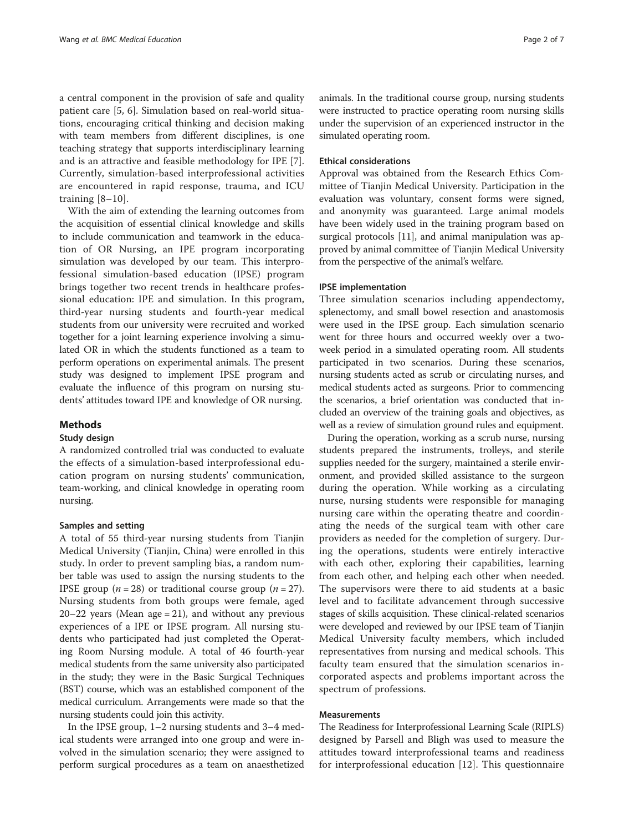a central component in the provision of safe and quality patient care [5, 6]. Simulation based on real-world situations, encouraging critical thinking and decision making with team members from different disciplines, is one teaching strategy that supports interdisciplinary learning and is an attractive and feasible methodology for IPE [7]. Currently, simulation-based interprofessional activities are encountered in rapid response, trauma, and ICU training  $[8-10]$ .

With the aim of extending the learning outcomes from the acquisition of essential clinical knowledge and skills to include communication and teamwork in the education of OR Nursing, an IPE program incorporating simulation was developed by our team. This interprofessional simulation-based education (IPSE) program brings together two recent trends in healthcare professional education: IPE and simulation. In this program, third-year nursing students and fourth-year medical students from our university were recruited and worked together for a joint learning experience involving a simulated OR in which the students functioned as a team to perform operations on experimental animals. The present study was designed to implement IPSE program and evaluate the influence of this program on nursing students' attitudes toward IPE and knowledge of OR nursing.

#### Methods

#### Study design

A randomized controlled trial was conducted to evaluate the effects of a simulation-based interprofessional education program on nursing students' communication, team-working, and clinical knowledge in operating room nursing.

#### Samples and setting

A total of 55 third-year nursing students from Tianjin Medical University (Tianjin, China) were enrolled in this study. In order to prevent sampling bias, a random number table was used to assign the nursing students to the IPSE group ( $n = 28$ ) or traditional course group ( $n = 27$ ). Nursing students from both groups were female, aged  $20-22$  years (Mean age = 21), and without any previous experiences of a IPE or IPSE program. All nursing students who participated had just completed the Operating Room Nursing module. A total of 46 fourth-year medical students from the same university also participated in the study; they were in the Basic Surgical Techniques (BST) course, which was an established component of the medical curriculum. Arrangements were made so that the nursing students could join this activity.

In the IPSE group, 1–2 nursing students and 3–4 medical students were arranged into one group and were involved in the simulation scenario; they were assigned to perform surgical procedures as a team on anaesthetized animals. In the traditional course group, nursing students were instructed to practice operating room nursing skills under the supervision of an experienced instructor in the simulated operating room.

#### Ethical considerations

Approval was obtained from the Research Ethics Committee of Tianjin Medical University. Participation in the evaluation was voluntary, consent forms were signed, and anonymity was guaranteed. Large animal models have been widely used in the training program based on surgical protocols [11], and animal manipulation was approved by animal committee of Tianjin Medical University from the perspective of the animal's welfare.

#### IPSE implementation

Three simulation scenarios including appendectomy, splenectomy, and small bowel resection and anastomosis were used in the IPSE group. Each simulation scenario went for three hours and occurred weekly over a twoweek period in a simulated operating room. All students participated in two scenarios. During these scenarios, nursing students acted as scrub or circulating nurses, and medical students acted as surgeons. Prior to commencing the scenarios, a brief orientation was conducted that included an overview of the training goals and objectives, as well as a review of simulation ground rules and equipment.

During the operation, working as a scrub nurse, nursing students prepared the instruments, trolleys, and sterile supplies needed for the surgery, maintained a sterile environment, and provided skilled assistance to the surgeon during the operation. While working as a circulating nurse, nursing students were responsible for managing nursing care within the operating theatre and coordinating the needs of the surgical team with other care providers as needed for the completion of surgery. During the operations, students were entirely interactive with each other, exploring their capabilities, learning from each other, and helping each other when needed. The supervisors were there to aid students at a basic level and to facilitate advancement through successive stages of skills acquisition. These clinical-related scenarios were developed and reviewed by our IPSE team of Tianjin Medical University faculty members, which included representatives from nursing and medical schools. This faculty team ensured that the simulation scenarios incorporated aspects and problems important across the spectrum of professions.

#### Measurements

The Readiness for Interprofessional Learning Scale (RIPLS) designed by Parsell and Bligh was used to measure the attitudes toward interprofessional teams and readiness for interprofessional education [12]. This questionnaire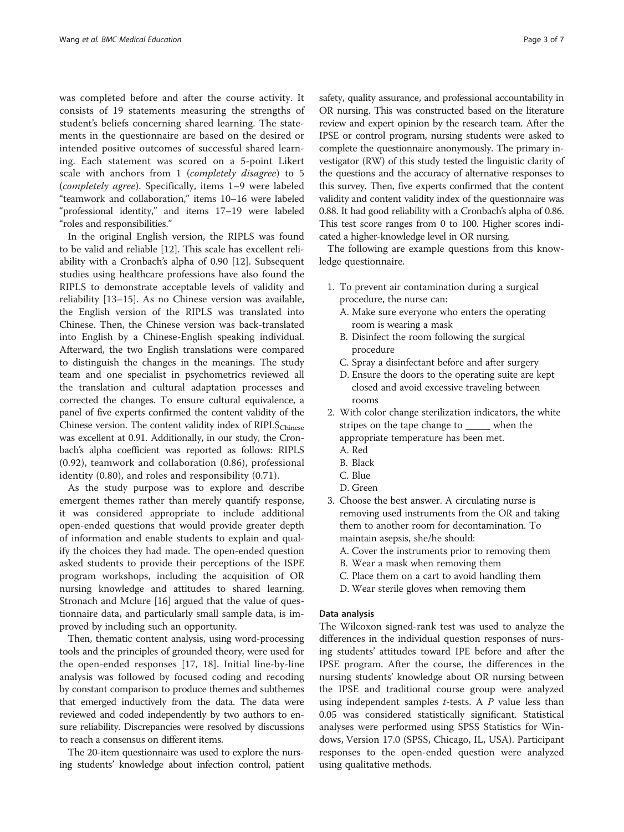was completed before and after the course activity. It consists of 19 statements measuring the strengths of student's beliefs concerning shared learning. The statements in the questionnaire are based on the desired or intended positive outcomes of successful shared learning. Each statement was scored on a 5-point Likert scale with anchors from 1 (completely disagree) to 5 (completely agree). Specifically, items 1–9 were labeled "teamwork and collaboration," items 10–16 were labeled "professional identity," and items 17–19 were labeled "roles and responsibilities."

In the original English version, the RIPLS was found to be valid and reliable [12]. This scale has excellent reliability with a Cronbach's alpha of 0.90 [12]. Subsequent studies using healthcare professions have also found the RIPLS to demonstrate acceptable levels of validity and reliability [13–15]. As no Chinese version was available, the English version of the RIPLS was translated into Chinese. Then, the Chinese version was back-translated into English by a Chinese-English speaking individual. Afterward, the two English translations were compared to distinguish the changes in the meanings. The study team and one specialist in psychometrics reviewed all the translation and cultural adaptation processes and corrected the changes. To ensure cultural equivalence, a panel of five experts confirmed the content validity of the Chinese version. The content validity index of  $RIPLS<sub>Chinese</sub>$ was excellent at 0.91. Additionally, in our study, the Cronbach's alpha coefficient was reported as follows: RIPLS (0.92), teamwork and collaboration (0.86), professional identity (0.80), and roles and responsibility (0.71).

As the study purpose was to explore and describe emergent themes rather than merely quantify response, it was considered appropriate to include additional open-ended questions that would provide greater depth of information and enable students to explain and qualify the choices they had made. The open-ended question asked students to provide their perceptions of the ISPE program workshops, including the acquisition of OR nursing knowledge and attitudes to shared learning. Stronach and Mclure [16] argued that the value of questionnaire data, and particularly small sample data, is improved by including such an opportunity.

Then, thematic content analysis, using word-processing tools and the principles of grounded theory, were used for the open-ended responses [17, 18]. Initial line-by-line analysis was followed by focused coding and recoding by constant comparison to produce themes and subthemes that emerged inductively from the data. The data were reviewed and coded independently by two authors to ensure reliability. Discrepancies were resolved by discussions to reach a consensus on different items.

The 20-item questionnaire was used to explore the nursing students' knowledge about infection control, patient

safety, quality assurance, and professional accountability in OR nursing. This was constructed based on the literature review and expert opinion by the research team. After the IPSE or control program, nursing students were asked to complete the questionnaire anonymously. The primary investigator (RW) of this study tested the linguistic clarity of the questions and the accuracy of alternative responses to this survey. Then, five experts confirmed that the content validity and content validity index of the questionnaire was 0.88. It had good reliability with a Cronbach's alpha of 0.86. This test score ranges from 0 to 100. Higher scores indicated a higher-knowledge level in OR nursing.

The following are example questions from this knowledge questionnaire.

- 1. To prevent air contamination during a surgical procedure, the nurse can:
	- A. Make sure everyone who enters the operating room is wearing a mask
	- B. Disinfect the room following the surgical procedure
	- C. Spray a disinfectant before and after surgery
	- D. Ensure the doors to the operating suite are kept closed and avoid excessive traveling between rooms
- 2. With color change sterilization indicators, the white stripes on the tape change to \_\_\_\_\_ when the appropriate temperature has been met.
	- A. Red
	- B. Black
	- C. Blue
	- D. Green
- 3. Choose the best answer. A circulating nurse is removing used instruments from the OR and taking them to another room for decontamination. To maintain asepsis, she/he should:
	- A. Cover the instruments prior to removing them
	- B. Wear a mask when removing them
	- C. Place them on a cart to avoid handling them
	- D. Wear sterile gloves when removing them

#### Data analysis

The Wilcoxon signed-rank test was used to analyze the differences in the individual question responses of nursing students' attitudes toward IPE before and after the IPSE program. After the course, the differences in the nursing students' knowledge about OR nursing between the IPSE and traditional course group were analyzed using independent samples  $t$ -tests. A  $P$  value less than 0.05 was considered statistically significant. Statistical analyses were performed using SPSS Statistics for Windows, Version 17.0 (SPSS, Chicago, IL, USA). Participant responses to the open-ended question were analyzed using qualitative methods.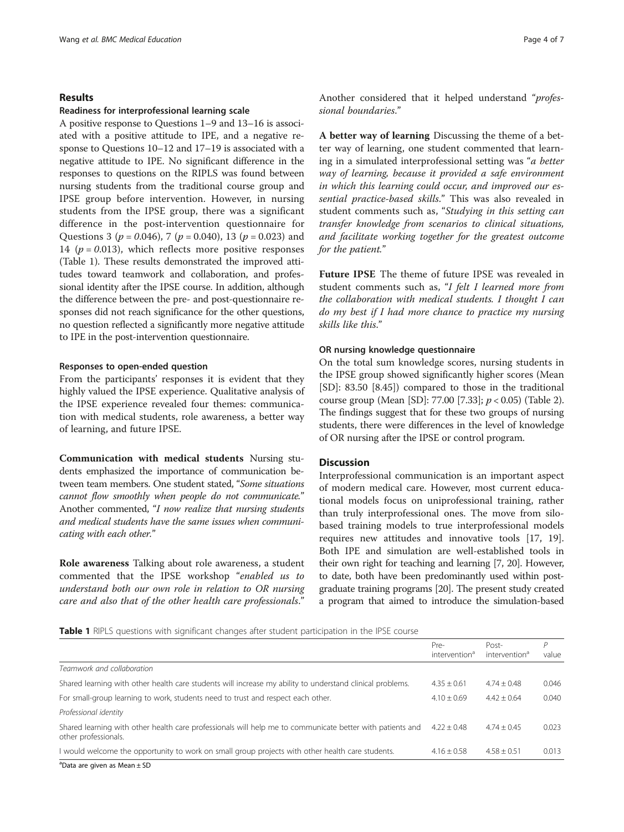#### Results

#### Readiness for interprofessional learning scale

A positive response to Questions 1–9 and 13–16 is associated with a positive attitude to IPE, and a negative response to Questions 10–12 and 17–19 is associated with a negative attitude to IPE. No significant difference in the responses to questions on the RIPLS was found between nursing students from the traditional course group and IPSE group before intervention. However, in nursing students from the IPSE group, there was a significant difference in the post-intervention questionnaire for Questions 3 ( $p = 0.046$ ), 7 ( $p = 0.040$ ), 13 ( $p = 0.023$ ) and 14 ( $p = 0.013$ ), which reflects more positive responses (Table 1). These results demonstrated the improved attitudes toward teamwork and collaboration, and professional identity after the IPSE course. In addition, although the difference between the pre- and post-questionnaire responses did not reach significance for the other questions, no question reflected a significantly more negative attitude to IPE in the post-intervention questionnaire.

#### Responses to open-ended question

From the participants' responses it is evident that they highly valued the IPSE experience. Qualitative analysis of the IPSE experience revealed four themes: communication with medical students, role awareness, a better way of learning, and future IPSE.

Communication with medical students Nursing students emphasized the importance of communication between team members. One student stated, "Some situations cannot flow smoothly when people do not communicate." Another commented, "I now realize that nursing students and medical students have the same issues when communicating with each other."

Role awareness Talking about role awareness, a student commented that the IPSE workshop "enabled us to understand both our own role in relation to OR nursing care and also that of the other health care professionals."

Another considered that it helped understand "professional boundaries."

A better way of learning Discussing the theme of a better way of learning, one student commented that learning in a simulated interprofessional setting was "a better way of learning, because it provided a safe environment in which this learning could occur, and improved our essential practice-based skills." This was also revealed in student comments such as, "Studying in this setting can transfer knowledge from scenarios to clinical situations, and facilitate working together for the greatest outcome for the patient."

Future IPSE The theme of future IPSE was revealed in student comments such as, "I felt I learned more from the collaboration with medical students. I thought I can do my best if I had more chance to practice my nursing skills like this."

#### OR nursing knowledge questionnaire

On the total sum knowledge scores, nursing students in the IPSE group showed significantly higher scores (Mean [SD]: 83.50 [8.45]) compared to those in the traditional course group (Mean [SD]: 77.00 [7.33]; p < 0.05) (Table 2). The findings suggest that for these two groups of nursing students, there were differences in the level of knowledge of OR nursing after the IPSE or control program.

#### **Discussion**

Interprofessional communication is an important aspect of modern medical care. However, most current educational models focus on uniprofessional training, rather than truly interprofessional ones. The move from silobased training models to true interprofessional models requires new attitudes and innovative tools [17, 19]. Both IPE and simulation are well-established tools in their own right for teaching and learning [7, 20]. However, to date, both have been predominantly used within postgraduate training programs [20]. The present study created a program that aimed to introduce the simulation-based

Table 1 RIPLS questions with significant changes after student participation in the IPSE course

|                                                                                                                                   | Pre-<br>intervention <sup>d</sup> | Post-<br>intervention <sup>a</sup> | Р<br>value |
|-----------------------------------------------------------------------------------------------------------------------------------|-----------------------------------|------------------------------------|------------|
| Teamwork and collaboration                                                                                                        |                                   |                                    |            |
| Shared learning with other health care students will increase my ability to understand clinical problems.                         | $4.35 + 0.61$                     | $4.74 + 0.48$                      | 0.046      |
| For small-group learning to work, students need to trust and respect each other.                                                  | $4.10 + 0.69$                     | $4.42 + 0.64$                      | 0.040      |
| Professional identity                                                                                                             |                                   |                                    |            |
| Shared learning with other health care professionals will help me to communicate better with patients and<br>other professionals. | $4.22 + 0.48$                     | $4.74 + 0.45$                      | 0.023      |
| I would welcome the opportunity to work on small group projects with other health care students.                                  | $4.16 + 0.58$                     | $4.58 + 0.51$                      | 0.013      |

a Data are given as Mean ± SD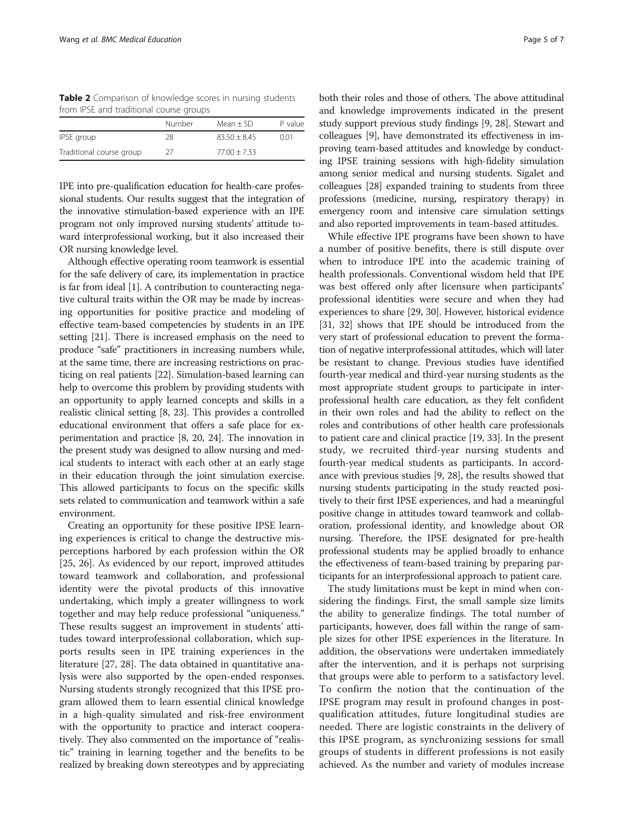Table 2 Comparison of knowledge scores in nursing students from IPSE and traditional course groups

| Number | Mean $\pm$ SD  | P value |
|--------|----------------|---------|
| 28     | $83.50 + 8.45$ | 0.01    |
| 27     | $77.00 + 7.33$ |         |
|        |                |         |

IPE into pre-qualification education for health-care professional students. Our results suggest that the integration of the innovative stimulation-based experience with an IPE program not only improved nursing students' attitude toward interprofessional working, but it also increased their OR nursing knowledge level.

Although effective operating room teamwork is essential for the safe delivery of care, its implementation in practice is far from ideal [1]. A contribution to counteracting negative cultural traits within the OR may be made by increasing opportunities for positive practice and modeling of effective team-based competencies by students in an IPE setting [21]. There is increased emphasis on the need to produce "safe" practitioners in increasing numbers while, at the same time, there are increasing restrictions on practicing on real patients [22]. Simulation-based learning can help to overcome this problem by providing students with an opportunity to apply learned concepts and skills in a realistic clinical setting [8, 23]. This provides a controlled educational environment that offers a safe place for experimentation and practice [8, 20, 24]. The innovation in the present study was designed to allow nursing and medical students to interact with each other at an early stage in their education through the joint simulation exercise. This allowed participants to focus on the specific skills sets related to communication and teamwork within a safe environment.

Creating an opportunity for these positive IPSE learning experiences is critical to change the destructive misperceptions harbored by each profession within the OR [25, 26]. As evidenced by our report, improved attitudes toward teamwork and collaboration, and professional identity were the pivotal products of this innovative undertaking, which imply a greater willingness to work together and may help reduce professional "uniqueness." These results suggest an improvement in students' attitudes toward interprofessional collaboration, which supports results seen in IPE training experiences in the literature [27, 28]. The data obtained in quantitative analysis were also supported by the open-ended responses. Nursing students strongly recognized that this IPSE program allowed them to learn essential clinical knowledge in a high-quality simulated and risk-free environment with the opportunity to practice and interact cooperatively. They also commented on the importance of "realistic" training in learning together and the benefits to be realized by breaking down stereotypes and by appreciating

both their roles and those of others. The above attitudinal and knowledge improvements indicated in the present study support previous study findings [9, 28]. Stewart and colleagues [9], have demonstrated its effectiveness in improving team-based attitudes and knowledge by conducting IPSE training sessions with high-fidelity simulation among senior medical and nursing students. Sigalet and colleagues [28] expanded training to students from three professions (medicine, nursing, respiratory therapy) in emergency room and intensive care simulation settings and also reported improvements in team-based attitudes.

While effective IPE programs have been shown to have a number of positive benefits, there is still dispute over when to introduce IPE into the academic training of health professionals. Conventional wisdom held that IPE was best offered only after licensure when participants' professional identities were secure and when they had experiences to share [29, 30]. However, historical evidence [31, 32] shows that IPE should be introduced from the very start of professional education to prevent the formation of negative interprofessional attitudes, which will later be resistant to change. Previous studies have identified fourth-year medical and third-year nursing students as the most appropriate student groups to participate in interprofessional health care education, as they felt confident in their own roles and had the ability to reflect on the roles and contributions of other health care professionals to patient care and clinical practice [19, 33]. In the present study, we recruited third-year nursing students and fourth-year medical students as participants. In accordance with previous studies [9, 28], the results showed that nursing students participating in the study reacted positively to their first IPSE experiences, and had a meaningful positive change in attitudes toward teamwork and collaboration, professional identity, and knowledge about OR nursing. Therefore, the IPSE designated for pre-health professional students may be applied broadly to enhance the effectiveness of team-based training by preparing participants for an interprofessional approach to patient care.

The study limitations must be kept in mind when considering the findings. First, the small sample size limits the ability to generalize findings. The total number of participants, however, does fall within the range of sample sizes for other IPSE experiences in the literature. In addition, the observations were undertaken immediately after the intervention, and it is perhaps not surprising that groups were able to perform to a satisfactory level. To confirm the notion that the continuation of the IPSE program may result in profound changes in postqualification attitudes, future longitudinal studies are needed. There are logistic constraints in the delivery of this IPSE program, as synchronizing sessions for small groups of students in different professions is not easily achieved. As the number and variety of modules increase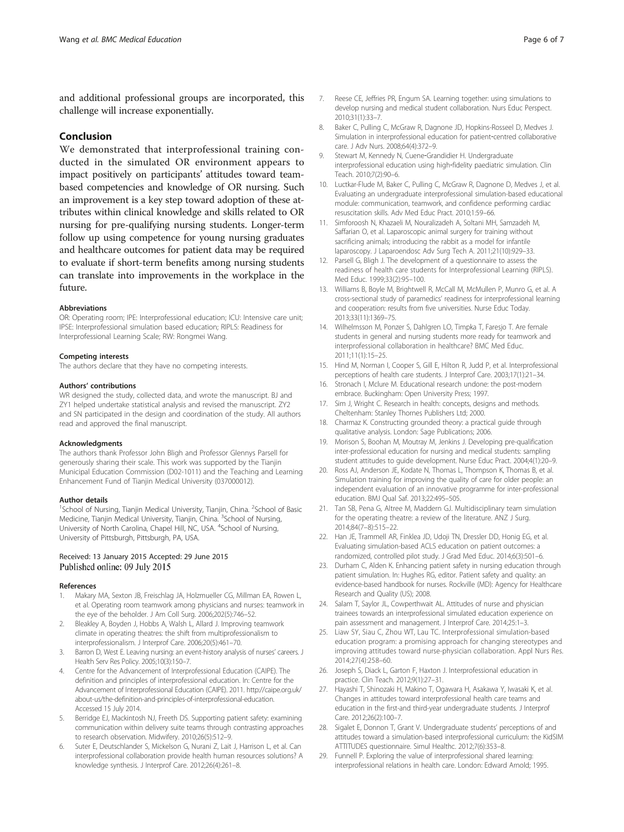and additional professional groups are incorporated, this challenge will increase exponentially.

#### Conclusion

We demonstrated that interprofessional training conducted in the simulated OR environment appears to impact positively on participants' attitudes toward teambased competencies and knowledge of OR nursing. Such an improvement is a key step toward adoption of these attributes within clinical knowledge and skills related to OR nursing for pre-qualifying nursing students. Longer-term follow up using competence for young nursing graduates and healthcare outcomes for patient data may be required to evaluate if short-term benefits among nursing students can translate into improvements in the workplace in the future.

#### Abbreviations

OR: Operating room; IPE: Interprofessional education; ICU: Intensive care unit; IPSE: Interprofessional simulation based education; RIPLS: Readiness for Interprofessional Learning Scale; RW: Rongmei Wang.

#### Competing interests

The authors declare that they have no competing interests.

#### Authors' contributions

WR designed the study, collected data, and wrote the manuscript. BJ and ZY1 helped undertake statistical analysis and revised the manuscript. ZY2 and SN participated in the design and coordination of the study. All authors read and approved the final manuscript.

#### Acknowledgments

The authors thank Professor John Bligh and Professor Glennys Parsell for generously sharing their scale. This work was supported by the Tianjin Municipal Education Commission (D02-1011) and the Teaching and Learning Enhancement Fund of Tianjin Medical University (037000012).

#### Author details

<sup>1</sup>School of Nursing, Tianjin Medical University, Tianjin, China. <sup>2</sup>School of Basic Medicine, Tianjin Medical University, Tianjin, China. <sup>3</sup>School of Nursing, University of North Carolina, Chapel Hill, NC, USA. <sup>4</sup>School of Nursing, University of Pittsburgh, Pittsburgh, PA, USA.

#### Received: 13 January 2015 Accepted: 29 June 2015 Published online: 09 July 2015

#### References

- 1. Makary MA, Sexton JB, Freischlag JA, Holzmueller CG, Millman EA, Rowen L, et al. Operating room teamwork among physicians and nurses: teamwork in the eye of the beholder. J Am Coll Surg. 2006;202(5):746–52.
- 2. Bleakley A, Boyden J, Hobbs A, Walsh L, Allard J. Improving teamwork climate in operating theatres: the shift from multiprofessionalism to interprofessionalism. J Interprof Care. 2006;20(5):461–70.
- 3. Barron D, West E. Leaving nursing: an event-history analysis of nurses' careers. J Health Serv Res Policy. 2005;10(3):150–7.
- 4. Centre for the Advancement of Interprofessional Education (CAIPE). The definition and principles of interprofessional education. In: Centre for the Advancement of Interprofessional Education (CAIPE). 2011. http://caipe.org.uk/ about-us/the-definition-and-principles-of-interprofessional-education. Accessed 15 July 2014.
- 5. Berridge EJ, Mackintosh NJ, Freeth DS. Supporting patient safety: examining communication within delivery suite teams through contrasting approaches to research observation. Midwifery. 2010;26(5):512–9.
- 6. Suter E, Deutschlander S, Mickelson G, Nurani Z, Lait J, Harrison L, et al. Can interprofessional collaboration provide health human resources solutions? A knowledge synthesis. J Interprof Care. 2012;26(4):261–8.
- 7. Reese CE, Jeffries PR, Engum SA. Learning together: using simulations to develop nursing and medical student collaboration. Nurs Educ Perspect. 2010;31(1):33–7.
- 8. Baker C, Pulling C, McGraw R, Dagnone JD, Hopkins-Rosseel D, Medves J. Simulation in interprofessional education for patient‐centred collaborative care. J Adv Nurs. 2008;64(4):372–9.
- 9. Stewart M, Kennedy N, Cuene‐Grandidier H. Undergraduate interprofessional education using high‐fidelity paediatric simulation. Clin Teach. 2010;7(2):90–6.
- 10. Luctkar-Flude M, Baker C, Pulling C, McGraw R, Dagnone D, Medves J, et al. Evaluating an undergraduate interprofessional simulation-based educational module: communication, teamwork, and confidence performing cardiac resuscitation skills. Adv Med Educ Pract. 2010;1:59–66.
- 11. Simforoosh N, Khazaeli M, Nouralizadeh A, Soltani MH, Samzadeh M, Saffarian O, et al. Laparoscopic animal surgery for training without sacrificing animals; introducing the rabbit as a model for infantile laparoscopy. J Laparoendosc Adv Surg Tech A. 2011;21(10):929–33.
- 12. Parsell G, Bligh J. The development of a questionnaire to assess the readiness of health care students for Interprofessional Learning (RIPLS). Med Educ. 1999;33(2):95–100.
- 13. Williams B, Boyle M, Brightwell R, McCall M, McMullen P, Munro G, et al. A cross-sectional study of paramedics' readiness for interprofessional learning and cooperation: results from five universities. Nurse Educ Today. 2013;33(11):1369–75.
- 14. Wilhelmsson M, Ponzer S, Dahlgren LO, Timpka T, Faresjo T. Are female students in general and nursing students more ready for teamwork and interprofessional collaboration in healthcare? BMC Med Educ. 2011;11(1):15–25.
- 15. Hind M, Norman I, Cooper S, Gill E, Hilton R, Judd P, et al. Interprofessional perceptions of health care students. J Interprof Care. 2003;17(1):21–34.
- 16. Stronach I, Mclure M. Educational research undone: the post-modern embrace. Buckingham: Open University Press; 1997.
- 17. Sim J, Wright C. Research in health: concepts, designs and methods. Cheltenham: Stanley Thornes Publishers Ltd; 2000.
- 18. Charmaz K. Constructing grounded theory: a practical guide through qualitative analysis. London: Sage Publications; 2006.
- 19. Morison S, Boohan M, Moutray M, Jenkins J. Developing pre-qualification inter-professional education for nursing and medical students: sampling student attitudes to guide development. Nurse Educ Pract. 2004;4(1):20–9.
- 20. Ross AJ, Anderson JE, Kodate N, Thomas L, Thompson K, Thomas B, et al. Simulation training for improving the quality of care for older people: an independent evaluation of an innovative programme for inter-professional education. BMJ Qual Saf. 2013;22:495–505.
- 21. Tan SB, Pena G, Altree M, Maddern GJ. Multidisciplinary team simulation for the operating theatre: a review of the literature. ANZ J Surg. 2014;84(7–8):515–22.
- 22. Han JE, Trammell AR, Finklea JD, Udoji TN, Dressler DD, Honig EG, et al. Evaluating simulation-based ACLS education on patient outcomes: a randomized, controlled pilot study. J Grad Med Educ. 2014;6(3):501–6.
- 23. Durham C, Alden K. Enhancing patient safety in nursing education through patient simulation. In: Hughes RG, editor. Patient safety and quality: an evidence-based handbook for nurses. Rockville (MD): Agency for Healthcare Research and Quality (US); 2008.
- 24. Salam T, Saylor JL, Cowperthwait AL. Attitudes of nurse and physician trainees towards an interprofessional simulated education experience on pain assessment and management. J Interprof Care. 2014;25:1–3.
- 25. Liaw SY, Siau C, Zhou WT, Lau TC. Interprofessional simulation-based education program: a promising approach for changing stereotypes and improving attitudes toward nurse-physician collaboration. Appl Nurs Res. 2014;27(4):258–60.
- 26. Joseph S, Diack L, Garton F, Haxton J. Interprofessional education in practice. Clin Teach. 2012;9(1):27–31.
- 27. Hayashi T, Shinozaki H, Makino T, Ogawara H, Asakawa Y, Iwasaki K, et al. Changes in attitudes toward interprofessional health care teams and education in the first-and third-year undergraduate students. J Interprof Care. 2012;26(2):100–7.
- 28. Sigalet E, Donnon T, Grant V. Undergraduate students' perceptions of and attitudes toward a simulation-based interprofessional curriculum: the KidSIM ATTITUDES questionnaire. Simul Healthc. 2012;7(6):353–8.
- 29. Funnell P. Exploring the value of interprofessional shared learning: interprofessional relations in health care. London: Edward Arnold; 1995.